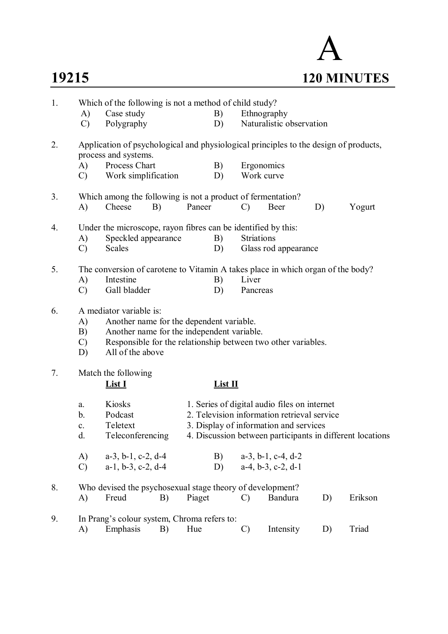

| 1. |                     | Which of the following is not a method of child study?                                                       |    |        |           |                   |                                              |    |                                                           |
|----|---------------------|--------------------------------------------------------------------------------------------------------------|----|--------|-----------|-------------------|----------------------------------------------|----|-----------------------------------------------------------|
|    | A)                  | Case study                                                                                                   |    |        | B)        |                   | Ethnography                                  |    |                                                           |
|    | $\mathcal{C}$       | Polygraphy                                                                                                   |    |        | D)        |                   | Naturalistic observation                     |    |                                                           |
| 2. |                     | Application of psychological and physiological principles to the design of products,<br>process and systems. |    |        |           |                   |                                              |    |                                                           |
|    | A)                  | Process Chart                                                                                                |    |        | B)        |                   | Ergonomics                                   |    |                                                           |
|    | $\mathcal{C}$       | Work simplification                                                                                          |    |        | D)        |                   | Work curve                                   |    |                                                           |
| 3. |                     | Which among the following is not a product of fermentation?                                                  |    |        |           |                   |                                              |    |                                                           |
|    | A)                  | Cheese                                                                                                       | B) | Paneer |           | $\mathcal{C}$     | Beer                                         | D) | Yogurt                                                    |
| 4. |                     | Under the microscope, rayon fibres can be identified by this:                                                |    |        |           |                   |                                              |    |                                                           |
|    | A)                  | Speckled appearance                                                                                          |    |        | B)        | <b>Striations</b> |                                              |    |                                                           |
|    | $\mathcal{C}$       | <b>Scales</b>                                                                                                |    |        | D)        |                   | Glass rod appearance                         |    |                                                           |
| 5. |                     | The conversion of carotene to Vitamin A takes place in which organ of the body?                              |    |        |           |                   |                                              |    |                                                           |
|    | A)                  | Intestine                                                                                                    |    |        | B)        | Liver             |                                              |    |                                                           |
|    | $\mathcal{C}$       | Gall bladder                                                                                                 |    |        | D)        | Pancreas          |                                              |    |                                                           |
| 6. |                     | A mediator variable is:                                                                                      |    |        |           |                   |                                              |    |                                                           |
|    | A)                  | Another name for the dependent variable.                                                                     |    |        |           |                   |                                              |    |                                                           |
|    | B)                  | Another name for the independent variable.                                                                   |    |        |           |                   |                                              |    |                                                           |
|    | $\mathcal{C}$<br>D) | Responsible for the relationship between two other variables.<br>All of the above                            |    |        |           |                   |                                              |    |                                                           |
|    |                     |                                                                                                              |    |        |           |                   |                                              |    |                                                           |
| 7. |                     | Match the following                                                                                          |    |        |           |                   |                                              |    |                                                           |
|    |                     | <u>List I</u>                                                                                                |    |        | $List$ II |                   |                                              |    |                                                           |
|    | a.                  | Kiosks                                                                                                       |    |        |           |                   | 1. Series of digital audio files on internet |    |                                                           |
|    | b.                  | Podcast                                                                                                      |    |        |           |                   | 2. Television information retrieval service  |    |                                                           |
|    | c.                  | Teletext                                                                                                     |    |        |           |                   | 3. Display of information and services       |    |                                                           |
|    | d.                  | Teleconferencing                                                                                             |    |        |           |                   |                                              |    | 4. Discussion between participants in different locations |
|    | A)                  | $a-3$ , $b-1$ , $c-2$ , $d-4$                                                                                |    |        | B)        |                   | $a-3$ , $b-1$ , $c-4$ , $d-2$                |    |                                                           |
|    | $\mathcal{C}$       | $a-1$ , $b-3$ , $c-2$ , $d-4$                                                                                |    |        | D)        |                   | $a-4$ , $b-3$ , $c-2$ , $d-1$                |    |                                                           |
| 8. |                     | Who devised the psychosexual stage theory of development?                                                    |    |        |           |                   |                                              |    |                                                           |
|    | A)                  | Freud                                                                                                        | B) | Piaget |           | $\mathcal{C}$     | Bandura                                      | D) | Erikson                                                   |
| 9. |                     | In Prang's colour system, Chroma refers to:                                                                  |    |        |           |                   |                                              |    |                                                           |
|    | A)                  | Emphasis                                                                                                     | B) | Hue    |           | $\mathcal{C}$     | Intensity                                    | D) | Triad                                                     |
|    |                     |                                                                                                              |    |        |           |                   |                                              |    |                                                           |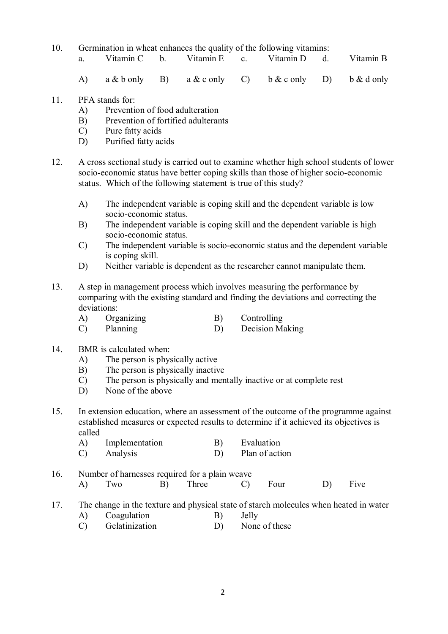- 10. Germination in wheat enhances the quality of the following vitamins:
	- a. Vitamin C b. Vitamin E c. Vitamin D d. Vitamin B
	- A) a & b only B) a & c only C) b & c only D) b & d only
- 11. PFA stands for:
	- A) Prevention of food adulteration
	- B) Prevention of fortified adulterants
	- C) Pure fatty acids
	- D) Purified fatty acids
- 12. A cross sectional study is carried out to examine whether high school students of lower socio-economic status have better coping skills than those of higher socio-economic status. Which of the following statement is true of this study?
	- A) The independent variable is coping skill and the dependent variable is low socio-economic status.
	- B) The independent variable is coping skill and the dependent variable is high socio-economic status.
	- C) The independent variable is socio-economic status and the dependent variable is coping skill.
	- D) Neither variable is dependent as the researcher cannot manipulate them.
- 13. A step in management process which involves measuring the performance by comparing with the existing standard and finding the deviations and correcting the deviations:
	- A) Organizing B) Controlling
	- C) Planning D) Decision Making
- 14. BMR is calculated when:
	- A) The person is physically active
	- B) The person is physically inactive
	- C) The person is physically and mentally inactive or at complete rest
	- D) None of the above
- 15. In extension education, where an assessment of the outcome of the programme against established measures or expected results to determine if it achieved its objectives is called<br>A)
	- Implementation B) Evaluation<br>Analysis D) Plan of acti
	- C) Analysis D) Plan of action
- 16. Number of harnesses required for a plain weave A) Two B) Three C) Four D) Five
- 17. The change in the texture and physical state of starch molecules when heated in water
	- A) Coagulation B) Jelly<br>
	C) Gelatinization D) None of these
	- $(C)$  Gelatinization D)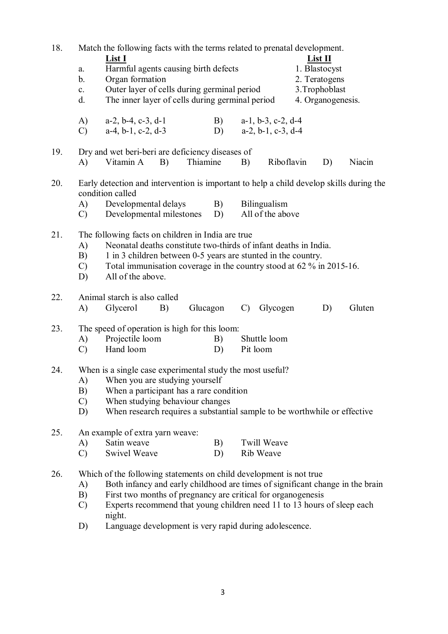| 18. |                | Match the following facts with the terms related to prenatal development.                                                             |    |          |    |                 |                               |            |                   |        |
|-----|----------------|---------------------------------------------------------------------------------------------------------------------------------------|----|----------|----|-----------------|-------------------------------|------------|-------------------|--------|
|     |                | List I                                                                                                                                |    |          |    |                 |                               |            | $List$ II         |        |
|     | a.             | Harmful agents causing birth defects                                                                                                  |    |          |    |                 |                               |            | 1. Blastocyst     |        |
|     | $\mathbf b$ .  | Organ formation                                                                                                                       |    |          |    |                 |                               |            | 2. Teratogens     |        |
|     | $\mathbf{c}$ . | Outer layer of cells during germinal period                                                                                           |    |          |    |                 |                               |            | 3. Trophoblast    |        |
|     | d.             | The inner layer of cells during germinal period                                                                                       |    |          |    |                 |                               |            | 4. Organogenesis. |        |
|     | A)             | $a-2$ , $b-4$ , $c-3$ , $d-1$                                                                                                         |    |          | B) |                 | $a-1$ , $b-3$ , $c-2$ , $d-4$ |            |                   |        |
|     | $\mathcal{C}$  | $a-4$ , $b-1$ , $c-2$ , $d-3$                                                                                                         |    |          | D) |                 | $a-2, b-1, c-3, d-4$          |            |                   |        |
|     |                |                                                                                                                                       |    |          |    |                 |                               |            |                   |        |
| 19. |                | Dry and wet beri-beri are deficiency diseases of                                                                                      |    |          |    |                 |                               |            |                   |        |
|     | A)             | Vitamin A                                                                                                                             | B) | Thiamine |    | B)              |                               | Riboflavin | D)                | Niacin |
| 20. |                | Early detection and intervention is important to help a child develop skills during the                                               |    |          |    |                 |                               |            |                   |        |
|     |                | condition called                                                                                                                      |    |          |    |                 |                               |            |                   |        |
|     | (A)            | Developmental delays                                                                                                                  |    |          | B) |                 | Bilingualism                  |            |                   |        |
|     | $\mathcal{C}$  | Developmental milestones                                                                                                              |    |          | D) |                 | All of the above              |            |                   |        |
|     |                |                                                                                                                                       |    |          |    |                 |                               |            |                   |        |
| 21. |                | The following facts on children in India are true<br>Neonatal deaths constitute two-thirds of infant deaths in India.                 |    |          |    |                 |                               |            |                   |        |
|     | A)<br>B)       |                                                                                                                                       |    |          |    |                 |                               |            |                   |        |
|     | $\mathcal{C}$  | 1 in 3 children between 0-5 years are stunted in the country.<br>Total immunisation coverage in the country stood at 62 % in 2015-16. |    |          |    |                 |                               |            |                   |        |
|     | D)             | All of the above.                                                                                                                     |    |          |    |                 |                               |            |                   |        |
|     |                |                                                                                                                                       |    |          |    |                 |                               |            |                   |        |
| 22. |                | Animal starch is also called                                                                                                          |    |          |    |                 |                               |            |                   |        |
|     | A)             | Glycerol                                                                                                                              | B) | Glucagon |    | $\mathcal{C}$ ) | Glycogen                      |            | D)                | Gluten |
| 23. |                | The speed of operation is high for this loom:                                                                                         |    |          |    |                 |                               |            |                   |        |
|     | A)             | Projectile loom                                                                                                                       |    |          | B) |                 | Shuttle loom                  |            |                   |        |
|     | $\mathcal{C}$  | Hand loom                                                                                                                             |    |          | D) | Pit loom        |                               |            |                   |        |
|     |                |                                                                                                                                       |    |          |    |                 |                               |            |                   |        |
| 24. |                | When is a single case experimental study the most useful?                                                                             |    |          |    |                 |                               |            |                   |        |
|     |                | A) When you are studying yourself                                                                                                     |    |          |    |                 |                               |            |                   |        |
|     | B)             | When a participant has a rare condition                                                                                               |    |          |    |                 |                               |            |                   |        |
|     | $\mathcal{C}$  | When studying behaviour changes                                                                                                       |    |          |    |                 |                               |            |                   |        |
|     | D)             | When research requires a substantial sample to be worthwhile or effective                                                             |    |          |    |                 |                               |            |                   |        |
| 25. |                | An example of extra yarn weave:                                                                                                       |    |          |    |                 |                               |            |                   |        |
|     | A)             | Satin weave                                                                                                                           |    |          | B) |                 | <b>Twill Weave</b>            |            |                   |        |
|     | $\mathcal{C}$  | <b>Swivel Weave</b>                                                                                                                   |    |          | D) |                 | Rib Weave                     |            |                   |        |
| 26. |                | Which of the following statements on child development is not true                                                                    |    |          |    |                 |                               |            |                   |        |
|     | A)             | Both infancy and early childhood are times of significant change in the brain                                                         |    |          |    |                 |                               |            |                   |        |
|     | B)             | First two months of pregnancy are critical for organogenesis                                                                          |    |          |    |                 |                               |            |                   |        |
|     | $\mathcal{C}$  | Experts recommend that young children need 11 to 13 hours of sleep each                                                               |    |          |    |                 |                               |            |                   |        |
|     |                | night.                                                                                                                                |    |          |    |                 |                               |            |                   |        |
|     | D)             | Language development is very rapid during adolescence.                                                                                |    |          |    |                 |                               |            |                   |        |
|     |                |                                                                                                                                       |    |          |    |                 |                               |            |                   |        |
|     |                |                                                                                                                                       |    |          |    |                 |                               |            |                   |        |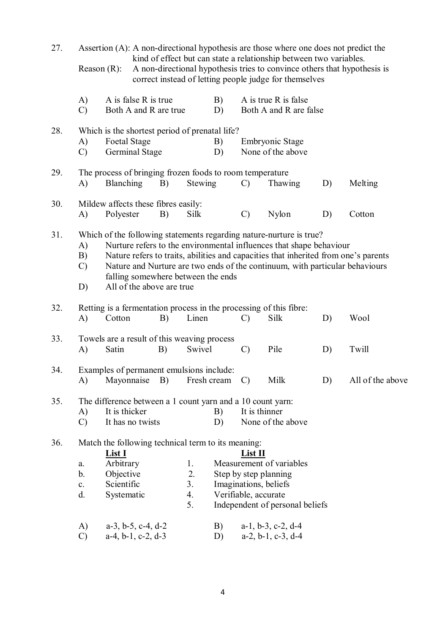| 27. | Assertion (A): A non-directional hypothesis are those where one does not predict the<br>kind of effect but can state a relationship between two variables. |                                                                             |                                                                                                                                                                                                                                                                                                                                                                                      |    |                                                                                                            |          |                                      |                                                                            |    |                                                                          |  |  |
|-----|------------------------------------------------------------------------------------------------------------------------------------------------------------|-----------------------------------------------------------------------------|--------------------------------------------------------------------------------------------------------------------------------------------------------------------------------------------------------------------------------------------------------------------------------------------------------------------------------------------------------------------------------------|----|------------------------------------------------------------------------------------------------------------|----------|--------------------------------------|----------------------------------------------------------------------------|----|--------------------------------------------------------------------------|--|--|
|     |                                                                                                                                                            | Reason $(R)$ :                                                              |                                                                                                                                                                                                                                                                                                                                                                                      |    |                                                                                                            |          |                                      | correct instead of letting people judge for themselves                     |    | A non-directional hypothesis tries to convince others that hypothesis is |  |  |
|     | A)<br>$\mathcal{C}$                                                                                                                                        |                                                                             | A is false R is true<br>Both A and R are true                                                                                                                                                                                                                                                                                                                                        |    |                                                                                                            | B)<br>D) |                                      | A is true R is false<br>Both A and R are false                             |    |                                                                          |  |  |
| 28. |                                                                                                                                                            | Which is the shortest period of prenatal life?                              |                                                                                                                                                                                                                                                                                                                                                                                      |    |                                                                                                            |          |                                      |                                                                            |    |                                                                          |  |  |
|     | A)<br>$\mathcal{C}$                                                                                                                                        |                                                                             | <b>Foetal Stage</b><br><b>Germinal Stage</b>                                                                                                                                                                                                                                                                                                                                         |    |                                                                                                            | B)<br>D) | Embryonic Stage<br>None of the above |                                                                            |    |                                                                          |  |  |
| 29. | A)                                                                                                                                                         | <b>Blanching</b>                                                            |                                                                                                                                                                                                                                                                                                                                                                                      | B) | The process of bringing frozen foods to room temperature<br>Stewing<br>Thawing<br>Melting<br>$\mathcal{C}$ |          |                                      |                                                                            |    |                                                                          |  |  |
|     |                                                                                                                                                            |                                                                             |                                                                                                                                                                                                                                                                                                                                                                                      |    |                                                                                                            |          |                                      |                                                                            | D) |                                                                          |  |  |
| 30. | A)                                                                                                                                                         | Mildew affects these fibres easily:<br>Polyester                            |                                                                                                                                                                                                                                                                                                                                                                                      | B) | Silk                                                                                                       |          | $\mathcal{C}$                        | Nylon                                                                      | D) | Cotton                                                                   |  |  |
| 31. | A)<br>B)<br>$\mathcal{C}$<br>D)                                                                                                                            |                                                                             | Which of the following statements regarding nature-nurture is true?<br>Nurture refers to the environmental influences that shape behaviour<br>Nature refers to traits, abilities and capacities that inherited from one's parents<br>Nature and Nurture are two ends of the continuum, with particular behaviours<br>falling somewhere between the ends<br>All of the above are true |    |                                                                                                            |          |                                      |                                                                            |    |                                                                          |  |  |
| 32. | A)                                                                                                                                                         | Cotton                                                                      |                                                                                                                                                                                                                                                                                                                                                                                      | B) | Linen                                                                                                      |          | C)                                   | Retting is a fermentation process in the processing of this fibre:<br>Silk | D) | Wool                                                                     |  |  |
| 33. |                                                                                                                                                            | Towels are a result of this weaving process                                 |                                                                                                                                                                                                                                                                                                                                                                                      |    |                                                                                                            |          |                                      |                                                                            |    |                                                                          |  |  |
|     | A)                                                                                                                                                         | Satin                                                                       |                                                                                                                                                                                                                                                                                                                                                                                      | B) | Swivel                                                                                                     |          | $\mathcal{C}$                        | Pile                                                                       | D) | Twill                                                                    |  |  |
| 34. |                                                                                                                                                            | Examples of permanent emulsions include:<br>A) Mayonnaise B) Fresh cream C) |                                                                                                                                                                                                                                                                                                                                                                                      |    |                                                                                                            |          |                                      | Milk                                                                       | D) | All of the above                                                         |  |  |
| 35. |                                                                                                                                                            |                                                                             |                                                                                                                                                                                                                                                                                                                                                                                      |    |                                                                                                            |          |                                      | The difference between a 1 count yarn and a 10 count yarn:                 |    |                                                                          |  |  |
|     | A)                                                                                                                                                         | It is thicker                                                               |                                                                                                                                                                                                                                                                                                                                                                                      |    |                                                                                                            | B)       |                                      | It is thinner                                                              |    |                                                                          |  |  |
|     | $\mathcal{C}$                                                                                                                                              |                                                                             | It has no twists                                                                                                                                                                                                                                                                                                                                                                     |    |                                                                                                            | D)       |                                      | None of the above                                                          |    |                                                                          |  |  |
| 36. |                                                                                                                                                            | Match the following technical term to its meaning:                          |                                                                                                                                                                                                                                                                                                                                                                                      |    |                                                                                                            |          |                                      |                                                                            |    |                                                                          |  |  |
|     |                                                                                                                                                            | <b>List I</b>                                                               |                                                                                                                                                                                                                                                                                                                                                                                      |    |                                                                                                            |          | List II                              |                                                                            |    |                                                                          |  |  |
|     | a.<br>$\mathbf b$ .                                                                                                                                        | Arbitrary<br>Objective                                                      |                                                                                                                                                                                                                                                                                                                                                                                      |    | 1.<br>2.                                                                                                   |          |                                      | Measurement of variables<br>Step by step planning                          |    |                                                                          |  |  |
|     | $\mathbf{c}$ .                                                                                                                                             | Scientific                                                                  |                                                                                                                                                                                                                                                                                                                                                                                      |    | 3 <sub>1</sub>                                                                                             |          |                                      | Imaginations, beliefs                                                      |    |                                                                          |  |  |
|     | d.                                                                                                                                                         | Systematic                                                                  |                                                                                                                                                                                                                                                                                                                                                                                      |    | 4.                                                                                                         |          |                                      | Verifiable, accurate                                                       |    |                                                                          |  |  |
|     |                                                                                                                                                            |                                                                             |                                                                                                                                                                                                                                                                                                                                                                                      |    | 5.                                                                                                         |          |                                      | Independent of personal beliefs                                            |    |                                                                          |  |  |
|     | A)                                                                                                                                                         |                                                                             | $a-3$ , $b-5$ , $c-4$ , $d-2$                                                                                                                                                                                                                                                                                                                                                        |    |                                                                                                            | B)       |                                      | $a-1$ , $b-3$ , $c-2$ , $d-4$                                              |    |                                                                          |  |  |
|     | $\mathcal{C}$                                                                                                                                              |                                                                             | $a-4$ , $b-1$ , $c-2$ , $d-3$                                                                                                                                                                                                                                                                                                                                                        |    |                                                                                                            | D)       |                                      | $a-2$ , $b-1$ , $c-3$ , $d-4$                                              |    |                                                                          |  |  |
|     |                                                                                                                                                            |                                                                             |                                                                                                                                                                                                                                                                                                                                                                                      |    |                                                                                                            |          |                                      |                                                                            |    |                                                                          |  |  |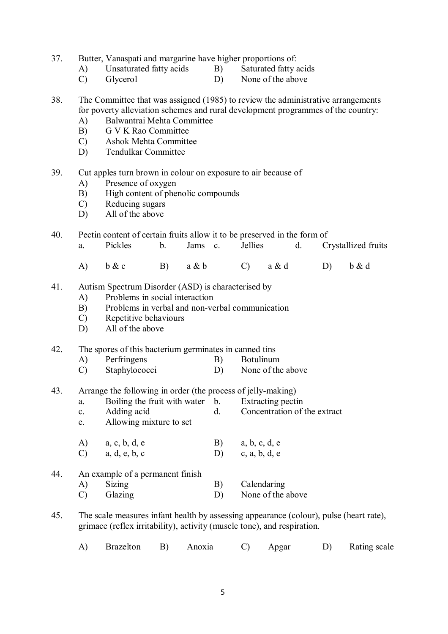- 37. Butter, Vanaspati and margarine have higher proportions of:
	- A) Unsaturated fatty acids B) Saturated fatty acids
		-
	- C) Glycerol D) None of the above
- 38. The Committee that was assigned (1985) to review the administrative arrangements for poverty alleviation schemes and rural development programmes of the country:
	- A) Balwantrai Mehta Committee
	- B) G V K Rao Committee
	- C) Ashok Mehta Committee
	- D) Tendulkar Committee
- 39. Cut apples turn brown in colour on exposure to air because of
	- A) Presence of oxygen
	- B) High content of phenolic compounds
	- C) Reducing sugars
	- D) All of the above
- 40. Pectin content of certain fruits allow it to be preserved in the form of

|  | Pickles |  | Jams c. |  | Jellies |  | Crystallized fruits |
|--|---------|--|---------|--|---------|--|---------------------|
|--|---------|--|---------|--|---------|--|---------------------|

A) b & c B) a & b C) a & d D) b & d

#### 41. Autism Spectrum Disorder (ASD) is characterised by

- A) Problems in social interaction
- B) Problems in verbal and non-verbal communication
- C) Repetitive behaviours
- D) All of the above

#### 42. The spores of this bacterium germinates in canned tins

- A) Perfringens B) Botulinum
- C) Staphylococci D) None of the above

#### 43. Arrange the following in order (the process of jelly-making)

- a. Boiling the fruit with water b. Extracting pectin
- c. Adding acid d. Concentration of the extract
- e. Allowing mixture to set
- $(A)$  a, c, b, d, e B) a, b, c, d, e
- C) a, d, e, b, c D) c, a, b, d, e
- 44. An example of a permanent finish A) Sizing B) Calendaring C) Glazing D) None of the above
- 45. The scale measures infant health by assessing appearance (colour), pulse (heart rate), grimace (reflex irritability), activity (muscle tone), and respiration.
	- A) Brazelton B) Anoxia C) Apgar D) Rating scale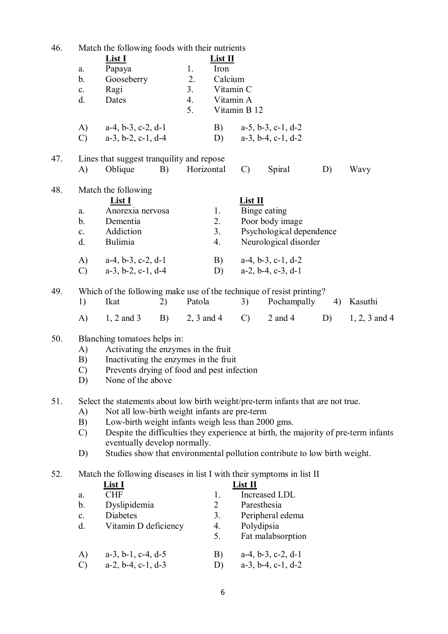| 46. |                      |                                                                                  |    |                 | Match the following foods with their nutrients |                 |                                                                |    |                                                                                     |  |  |  |
|-----|----------------------|----------------------------------------------------------------------------------|----|-----------------|------------------------------------------------|-----------------|----------------------------------------------------------------|----|-------------------------------------------------------------------------------------|--|--|--|
|     |                      | <b>List I</b>                                                                    |    |                 | <u>List II</u>                                 |                 |                                                                |    |                                                                                     |  |  |  |
|     | $a$ .                | Papaya                                                                           |    | 1.              | Iron                                           |                 |                                                                |    |                                                                                     |  |  |  |
|     | b.                   | Gooseberry                                                                       |    | 2.              | Calcium                                        |                 |                                                                |    |                                                                                     |  |  |  |
|     | $\mathbf{c}$ .       | Ragi                                                                             |    | 3.              | Vitamin C                                      |                 |                                                                |    |                                                                                     |  |  |  |
|     | d.                   | Dates                                                                            |    | 4.              | Vitamin A                                      |                 |                                                                |    |                                                                                     |  |  |  |
|     |                      |                                                                                  |    | 5.              |                                                | Vitamin B 12    |                                                                |    |                                                                                     |  |  |  |
|     | A)                   | $a-4$ , $b-3$ , $c-2$ , $d-1$                                                    |    |                 | B)                                             |                 | $a-5$ , $b-3$ , $c-1$ , $d-2$                                  |    |                                                                                     |  |  |  |
|     | $\mathcal{C}$        | $a-3$ , $b-2$ , $c-1$ , $d-4$                                                    |    |                 | D)                                             |                 | $a-3$ , $b-4$ , $c-1$ , $d-2$                                  |    |                                                                                     |  |  |  |
| 47. |                      |                                                                                  |    |                 |                                                |                 |                                                                |    |                                                                                     |  |  |  |
|     | A)                   | Lines that suggest tranquility and repose<br>Oblique                             | B) | Horizontal      |                                                | $\mathcal{C}$   | Spiral                                                         | D) | Wavy                                                                                |  |  |  |
|     |                      |                                                                                  |    |                 |                                                |                 |                                                                |    |                                                                                     |  |  |  |
| 48. |                      | Match the following                                                              |    |                 |                                                |                 |                                                                |    |                                                                                     |  |  |  |
|     |                      | <b>List I</b>                                                                    |    |                 |                                                | List II         |                                                                |    |                                                                                     |  |  |  |
|     | a.                   | Anorexia nervosa                                                                 |    |                 | 1.                                             |                 | Binge eating                                                   |    |                                                                                     |  |  |  |
|     | b.                   | Dementia                                                                         |    |                 | 2.                                             |                 | Poor body image                                                |    |                                                                                     |  |  |  |
|     | $\mathbf{c}$ .<br>d. | Addiction<br>Bulimia                                                             |    |                 | 3 <sub>1</sub><br>4.                           |                 | Psychological dependence<br>Neurological disorder              |    |                                                                                     |  |  |  |
|     |                      |                                                                                  |    |                 |                                                |                 |                                                                |    |                                                                                     |  |  |  |
|     | A)                   | $a-4, b-3, c-2, d-1$                                                             |    |                 | B)                                             |                 | $a-4, b-3, c-1, d-2$                                           |    |                                                                                     |  |  |  |
|     | $\mathcal{C}$        | $a-3$ , $b-2$ , $c-1$ , $d-4$                                                    |    |                 | D)                                             |                 | $a-2$ , $b-4$ , $c-3$ , $d-1$                                  |    |                                                                                     |  |  |  |
| 49. |                      | Which of the following make use of the technique of resist printing?             |    |                 |                                                |                 |                                                                |    |                                                                                     |  |  |  |
|     | 1)                   | Ikat                                                                             | 2) | Patola          |                                                | 3)              | Pochampally                                                    | 4) | Kasuthi                                                                             |  |  |  |
|     | A)                   | $1, 2$ and 3                                                                     |    | $B)$ 2, 3 and 4 |                                                | $\mathcal{C}$ ) | $2$ and $4$                                                    | D) | $1, 2, 3$ and 4                                                                     |  |  |  |
|     |                      |                                                                                  |    |                 |                                                |                 |                                                                |    |                                                                                     |  |  |  |
|     |                      |                                                                                  |    |                 |                                                |                 |                                                                |    |                                                                                     |  |  |  |
| 50. |                      | Blanching tomatoes helps in:                                                     |    |                 |                                                |                 |                                                                |    |                                                                                     |  |  |  |
|     | A)                   | Activating the enzymes in the fruit                                              |    |                 |                                                |                 |                                                                |    |                                                                                     |  |  |  |
|     | B)                   | Inactivating the enzymes in the fruit                                            |    |                 |                                                |                 |                                                                |    |                                                                                     |  |  |  |
|     | $\mathcal{C}$        | Prevents drying of food and pest infection                                       |    |                 |                                                |                 |                                                                |    |                                                                                     |  |  |  |
|     | D)                   | None of the above                                                                |    |                 |                                                |                 |                                                                |    |                                                                                     |  |  |  |
| 51. |                      | Select the statements about low birth weight/pre-term infants that are not true. |    |                 |                                                |                 |                                                                |    |                                                                                     |  |  |  |
|     | A)                   | Not all low-birth weight infants are pre-term                                    |    |                 |                                                |                 |                                                                |    |                                                                                     |  |  |  |
|     | B)                   | Low-birth weight infants weigh less than 2000 gms.                               |    |                 |                                                |                 |                                                                |    |                                                                                     |  |  |  |
|     | $\mathcal{C}$        |                                                                                  |    |                 |                                                |                 |                                                                |    | Despite the difficulties they experience at birth, the majority of pre-term infants |  |  |  |
|     |                      | eventually develop normally.                                                     |    |                 |                                                |                 |                                                                |    |                                                                                     |  |  |  |
|     | D)                   | Studies show that environmental pollution contribute to low birth weight.        |    |                 |                                                |                 |                                                                |    |                                                                                     |  |  |  |
| 52. |                      | Match the following diseases in list I with their symptoms in list II            |    |                 |                                                |                 |                                                                |    |                                                                                     |  |  |  |
|     |                      | <u>List I</u>                                                                    |    |                 |                                                | List II         |                                                                |    |                                                                                     |  |  |  |
|     | a.                   | <b>CHF</b>                                                                       |    |                 | 1.                                             |                 | Increased LDL                                                  |    |                                                                                     |  |  |  |
|     | b.                   | Dyslipidemia                                                                     |    |                 | $\overline{2}$                                 | Paresthesia     |                                                                |    |                                                                                     |  |  |  |
|     | $c$ .                | Diabetes                                                                         |    |                 | 3.                                             |                 | Peripheral edema                                               |    |                                                                                     |  |  |  |
|     | d.                   | Vitamin D deficiency                                                             |    |                 | 4.<br>5.                                       | Polydipsia      | Fat malabsorption                                              |    |                                                                                     |  |  |  |
|     |                      |                                                                                  |    |                 |                                                |                 |                                                                |    |                                                                                     |  |  |  |
|     | A)<br>$\mathcal{C}$  | $a-3$ , $b-1$ , $c-4$ , $d-5$<br>$a-2$ , $b-4$ , $c-1$ , $d-3$                   |    |                 | B)<br>D)                                       |                 | $a-4$ , $b-3$ , $c-2$ , $d-1$<br>$a-3$ , $b-4$ , $c-1$ , $d-2$ |    |                                                                                     |  |  |  |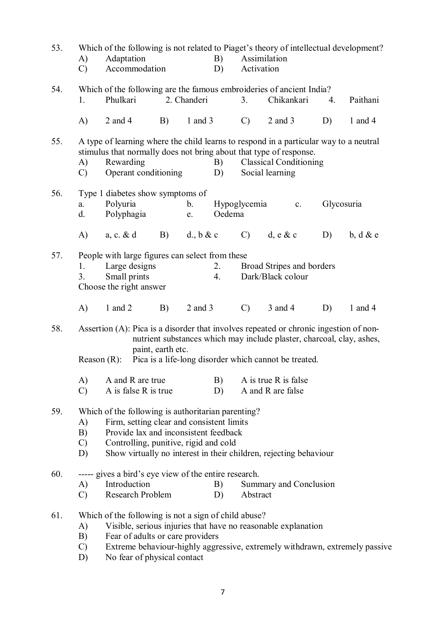| 53. | A)<br>$\mathcal{C}$             | Adaptation<br>B)<br>Accommodation<br>D)                                                                                                                                                                                                                                 |                   |              |          | Which of the following is not related to Piaget's theory of intellectual development?<br>Assimilation<br>Activation |                                                                                                                                |    |             |  |
|-----|---------------------------------|-------------------------------------------------------------------------------------------------------------------------------------------------------------------------------------------------------------------------------------------------------------------------|-------------------|--------------|----------|---------------------------------------------------------------------------------------------------------------------|--------------------------------------------------------------------------------------------------------------------------------|----|-------------|--|
| 54. | 1.                              | Which of the following are the famous embroideries of ancient India?<br>Phulkari                                                                                                                                                                                        |                   | 2. Chanderi  |          | 3.                                                                                                                  | Chikankari                                                                                                                     | 4. | Paithani    |  |
|     | A)                              | 2 and $4$                                                                                                                                                                                                                                                               | B)                | 1 and $3$    |          | $\mathcal{C}$                                                                                                       | $2$ and $3$                                                                                                                    | D) | 1 and 4     |  |
| 55. | A)<br>$\mathcal{C}$             | A type of learning where the child learns to respond in a particular way to a neutral<br>stimulus that normally does not bring about that type of response.<br>Rewarding<br>Operant conditioning                                                                        |                   |              | B)<br>D) |                                                                                                                     | <b>Classical Conditioning</b><br>Social learning                                                                               |    |             |  |
| 56. | a.<br>d.                        | Type 1 diabetes show symptoms of<br>Polyuria<br>Polyphagia                                                                                                                                                                                                              |                   | b.<br>e.     | Oedema   | Hypoglycemia                                                                                                        | $\mathbf{c}$ .                                                                                                                 |    | Glycosuria  |  |
|     | A)                              | $a, c. \& d$                                                                                                                                                                                                                                                            | B)                | d., $b \& c$ |          | $\mathcal{C}$ )                                                                                                     | $d, e \& c$                                                                                                                    | D) | $b, d \& e$ |  |
| 57. | 1.<br>3.                        | People with large figures can select from these<br>Large designs<br>Small prints<br>Choose the right answer                                                                                                                                                             |                   |              | 2.<br>4. |                                                                                                                     | Broad Stripes and borders<br>Dark/Black colour                                                                                 |    |             |  |
|     | $\mathbf{A}$                    | 1 and $2$                                                                                                                                                                                                                                                               | B)                | $2$ and $3$  |          | $\mathcal{C}$                                                                                                       | 3 and 4                                                                                                                        | D) | 1 and 4     |  |
| 58. |                                 | Assertion (A): Pica is a disorder that involves repeated or chronic ingestion of non-<br>Reason $(R)$ :                                                                                                                                                                 | paint, earth etc. |              |          |                                                                                                                     | nutrient substances which may include plaster, charcoal, clay, ashes,<br>Pica is a life-long disorder which cannot be treated. |    |             |  |
|     | A)<br>$\mathcal{C}$             | A and R are true<br>A is false R is true                                                                                                                                                                                                                                |                   |              | D)       |                                                                                                                     | B) A is true R is false<br>A and R are false                                                                                   |    |             |  |
| 59. | A)<br>B)<br>$\mathcal{C}$<br>D) | Which of the following is authoritarian parenting?<br>Firm, setting clear and consistent limits<br>Provide lax and inconsistent feedback<br>Controlling, punitive, rigid and cold<br>Show virtually no interest in their children, rejecting behaviour                  |                   |              |          |                                                                                                                     |                                                                                                                                |    |             |  |
| 60. | A)<br>$\mathcal{C}$             | ----- gives a bird's eye view of the entire research.<br>Introduction<br>Research Problem                                                                                                                                                                               |                   |              | B)<br>D) | Abstract                                                                                                            | Summary and Conclusion                                                                                                         |    |             |  |
| 61. | A)<br>B)<br>$\mathcal{C}$<br>D) | Which of the following is not a sign of child abuse?<br>Visible, serious injuries that have no reasonable explanation<br>Fear of adults or care providers<br>Extreme behaviour-highly aggressive, extremely withdrawn, extremely passive<br>No fear of physical contact |                   |              |          |                                                                                                                     |                                                                                                                                |    |             |  |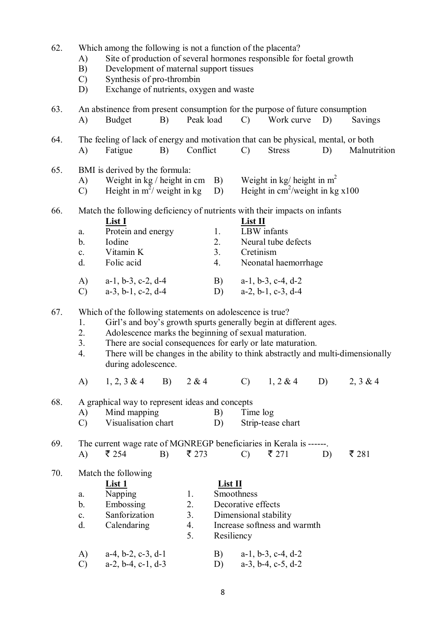| 62. | A)<br>B)<br>$\mathcal{C}$<br>D)                         | Which among the following is not a function of the placenta?<br>Site of production of several hormones responsible for foetal growth<br>Development of maternal support tissues<br>Synthesis of pro-thrombin<br>Exchange of nutrients, oxygen and waste                                                                                                           |    |                            |                                           |                                     |                                                                                                               |    |              |
|-----|---------------------------------------------------------|-------------------------------------------------------------------------------------------------------------------------------------------------------------------------------------------------------------------------------------------------------------------------------------------------------------------------------------------------------------------|----|----------------------------|-------------------------------------------|-------------------------------------|---------------------------------------------------------------------------------------------------------------|----|--------------|
| 63. | A)                                                      | An abstinence from present consumption for the purpose of future consumption<br><b>Budget</b>                                                                                                                                                                                                                                                                     | B) | Peak load                  |                                           | $\mathcal{C}$                       | Work curve                                                                                                    | D) | Savings      |
| 64. | A)                                                      | The feeling of lack of energy and motivation that can be physical, mental, or both<br>Fatigue                                                                                                                                                                                                                                                                     | B) | Conflict                   |                                           | $\mathcal{C}$                       | <b>Stress</b>                                                                                                 | D) | Malnutrition |
| 65. | A)<br>$\mathcal{C}$                                     | BMI is derived by the formula:<br>Weight in $kg/h$ eight in cm B)<br>Height in $m^2$ / weight in kg                                                                                                                                                                                                                                                               |    |                            | D)                                        |                                     | Weight in kg/ height in $m^2$<br>Height in $\text{cm}^2/\text{weight}$ in kg x100                             |    |              |
| 66. | a.<br>b.<br>$\mathbf{c}$ .<br>d.<br>A)<br>$\mathcal{C}$ | Match the following deficiency of nutrients with their impacts on infants<br>List I<br>Protein and energy<br>Iodine<br>Vitamin K<br>Folic acid<br>$a-1$ , $b-3$ , $c-2$ , $d-4$<br>$a-3$ , $b-1$ , $c-2$ , $d-4$                                                                                                                                                  |    |                            | 1.<br>2.<br>3.<br>4.<br>B)<br>D)          | List II<br>LBW infants<br>Cretinism | Neural tube defects<br>Neonatal haemorrhage<br>$a-1$ , $b-3$ , $c-4$ , $d-2$<br>$a-2$ , $b-1$ , $c-3$ , $d-4$ |    |              |
| 67. | 1.<br>2.<br>3.<br>4.                                    | Which of the following statements on adolescence is true?<br>Girl's and boy's growth spurts generally begin at different ages.<br>Adolescence marks the beginning of sexual maturation.<br>There are social consequences for early or late maturation.<br>There will be changes in the ability to think abstractly and multi-dimensionally<br>during adolescence. |    |                            |                                           |                                     |                                                                                                               |    |              |
|     | A)                                                      | $1, 2, 3 \& 4$ B) $2 \& 4$                                                                                                                                                                                                                                                                                                                                        |    |                            |                                           |                                     | C) $1, 2 \& 4$ D)                                                                                             |    | 2, 3 & 4     |
| 68. | A)<br>$\mathcal{C}$                                     | A graphical way to represent ideas and concepts<br>Mind mapping<br>Visualisation chart                                                                                                                                                                                                                                                                            |    |                            | B)<br>D)                                  | Time log                            | Strip-tease chart                                                                                             |    |              |
| 69. | A)                                                      | The current wage rate of MGNREGP beneficiaries in Kerala is ------.<br>₹ 254                                                                                                                                                                                                                                                                                      | B) | ₹ 273                      |                                           | $\mathcal{C}$                       | $\bar{z}$ 271                                                                                                 | D) | ₹ 281        |
| 70. | a.<br>b.<br>$\mathbf{c}$ .<br>d.<br>A)                  | Match the following<br><u>List 1</u><br>Napping<br>Embossing<br>Sanforization<br>Calendaring<br>$a-4$ , $b-2$ , $c-3$ , $d-1$                                                                                                                                                                                                                                     |    | 1.<br>2.<br>3.<br>4.<br>5. | List II<br>Smoothness<br>Resiliency<br>B) | Decorative effects                  | Dimensional stability<br>Increase softness and warmth<br>$a-1$ , $b-3$ , $c-4$ , $d-2$                        |    |              |
|     | $\mathcal{C}$                                           | $a-2$ , $b-4$ , $c-1$ , $d-3$                                                                                                                                                                                                                                                                                                                                     |    |                            | D)                                        |                                     | $a-3$ , $b-4$ , $c-5$ , $d-2$                                                                                 |    |              |

8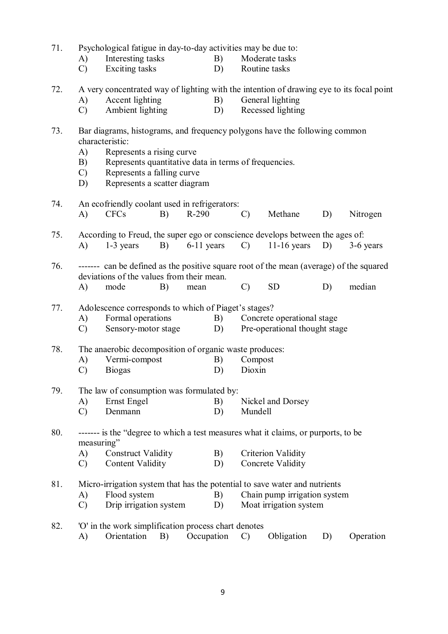71. Psychological fatigue in day-to-day activities may be due to:

- A) Interesting tasks B) Moderate tasks
- C) Exciting tasks D) Routine tasks
- 72. A very concentrated way of lighting with the intention of drawing eye to its focal point
	- A) Accent lighting B) General lighting<br>
	C) Ambient lighting D) Recessed lighting
	- C) Ambient lighting D) Recessed lighting

# 73. Bar diagrams, histograms, and frequency polygons have the following common characteristic:

- A) Represents a rising curve
- B) Represents quantitative data in terms of frequencies.
- C) Represents a falling curve
- D) Represents a scatter diagram

# 74. An ecofriendly coolant used in refrigerators: A) CFCs B) R-290 C) Methane D) Nitrogen 75. According to Freud, the super ego or conscience develops between the ages of: A) 1-3 years B) 6-11 years C) 11-16 years D) 3-6 years

# 76. ------- can be defined as the positive square root of the mean (average) of the squared deviations of the values from their mean.

A) mode B) mean C) SD D) median

#### 77. Adolescence corresponds to which of Piaget's stages?

- A) Formal operations B) Concrete operational stage
- C) Sensory-motor stage D) Pre-operational thought stage

### 78. The anaerobic decomposition of organic waste produces:

- A) Vermi-compost B) Compost
- C) Biogas D) Dioxin

# 79. The law of consumption was formulated by:

- A) Ernst Engel B) Nickel and Dorsey
- C) Denmann D) Mundell

## 80. ------- is the "degree to which a test measures what it claims, or purports, to be measuring"

- A) Construct Validity B) Criterion Validity
- C) Content Validity D) Concrete Validity

### 81. Micro-irrigation system that has the potential to save water and nutrients

A) Flood system B) Chain pump irrigation system

# C) Drip irrigation system D) Moat irrigation system

82. 'O' in the work simplification process chart denotes A) Orientation B) Occupation C) Obligation D) Operation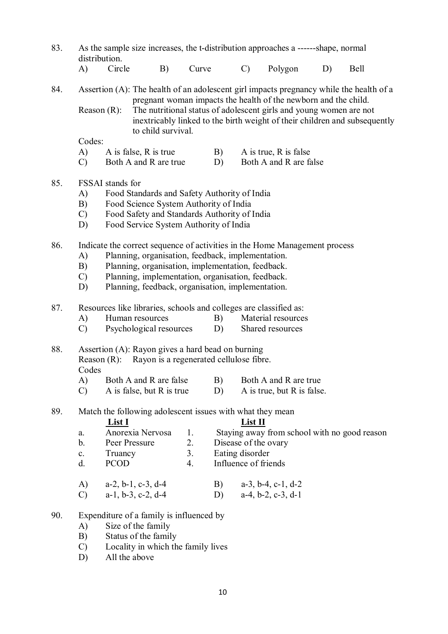| 83. | distribution.                   |                                                                                                                                                                                                                                                                                                | As the sample size increases, the t-distribution approaches a ------shape, normal                                                                                                                                                                      |       |                      |                      |                                                                            |    |                                              |  |  |  |
|-----|---------------------------------|------------------------------------------------------------------------------------------------------------------------------------------------------------------------------------------------------------------------------------------------------------------------------------------------|--------------------------------------------------------------------------------------------------------------------------------------------------------------------------------------------------------------------------------------------------------|-------|----------------------|----------------------|----------------------------------------------------------------------------|----|----------------------------------------------|--|--|--|
|     | $\mathbf{A}$                    | Circle                                                                                                                                                                                                                                                                                         | B)                                                                                                                                                                                                                                                     | Curve |                      | $\mathcal{C}$        | Polygon                                                                    | D) | <b>Bell</b>                                  |  |  |  |
| 84. | Reason $(R)$ :                  |                                                                                                                                                                                                                                                                                                | Assertion (A): The health of an adolescent girl impacts pregnancy while the health of a<br>pregnant woman impacts the health of the newborn and the child.<br>The nutritional status of adolescent girls and young women are not<br>to child survival. |       |                      |                      | inextricably linked to the birth weight of their children and subsequently |    |                                              |  |  |  |
|     | Codes:                          |                                                                                                                                                                                                                                                                                                |                                                                                                                                                                                                                                                        |       |                      |                      |                                                                            |    |                                              |  |  |  |
|     | A)                              |                                                                                                                                                                                                                                                                                                | A is false, R is true                                                                                                                                                                                                                                  |       | B)                   |                      | A is true, $R$ is false                                                    |    |                                              |  |  |  |
|     | $\mathcal{C}$                   |                                                                                                                                                                                                                                                                                                | Both A and R are true                                                                                                                                                                                                                                  |       | D)                   |                      | Both A and R are false                                                     |    |                                              |  |  |  |
| 85. | A)<br>B)<br>$\mathcal{C}$<br>D) | FSSAI stands for<br>Food Standards and Safety Authority of India<br>Food Science System Authority of India<br>Food Safety and Standards Authority of India<br>Food Service System Authority of India                                                                                           |                                                                                                                                                                                                                                                        |       |                      |                      |                                                                            |    |                                              |  |  |  |
| 86. | A)<br>B)<br>$\mathcal{C}$<br>D) | Indicate the correct sequence of activities in the Home Management process<br>Planning, organisation, feedback, implementation.<br>Planning, organisation, implementation, feedback.<br>Planning, implementation, organisation, feedback.<br>Planning, feedback, organisation, implementation. |                                                                                                                                                                                                                                                        |       |                      |                      |                                                                            |    |                                              |  |  |  |
| 87. | A)                              |                                                                                                                                                                                                                                                                                                | Resources like libraries, schools and colleges are classified as:<br>Human resources                                                                                                                                                                   |       | B)                   |                      | Material resources                                                         |    |                                              |  |  |  |
|     | $\mathcal{C}$                   |                                                                                                                                                                                                                                                                                                | Psychological resources                                                                                                                                                                                                                                |       | D)                   |                      | Shared resources                                                           |    |                                              |  |  |  |
| 88. | Codes                           |                                                                                                                                                                                                                                                                                                | Assertion (A): Rayon gives a hard bead on burning<br>Reason (R): Rayon is a regenerated cellulose fibre.                                                                                                                                               |       |                      |                      |                                                                            |    |                                              |  |  |  |
|     | A)                              |                                                                                                                                                                                                                                                                                                | Both A and R are false B) Both A and R are true                                                                                                                                                                                                        |       |                      |                      |                                                                            |    |                                              |  |  |  |
|     | $\mathcal{C}$                   |                                                                                                                                                                                                                                                                                                | A is false, but R is true                                                                                                                                                                                                                              |       | D)                   |                      | A is true, but R is false.                                                 |    |                                              |  |  |  |
| 89. |                                 | <u>List I</u>                                                                                                                                                                                                                                                                                  | Match the following adolescent issues with what they mean                                                                                                                                                                                              |       |                      | $List$ II            |                                                                            |    |                                              |  |  |  |
|     | a.                              |                                                                                                                                                                                                                                                                                                | Anorexia Nervosa                                                                                                                                                                                                                                       | 1.    |                      |                      |                                                                            |    | Staying away from school with no good reason |  |  |  |
|     | b.                              |                                                                                                                                                                                                                                                                                                | Peer Pressure                                                                                                                                                                                                                                          | 2.    | Disease of the ovary |                      |                                                                            |    |                                              |  |  |  |
|     | $\mathbf{c}$ .                  | Truancy                                                                                                                                                                                                                                                                                        |                                                                                                                                                                                                                                                        | 3.    | Eating disorder      |                      |                                                                            |    |                                              |  |  |  |
|     | d.                              | <b>PCOD</b>                                                                                                                                                                                                                                                                                    |                                                                                                                                                                                                                                                        | 4.    |                      | Influence of friends |                                                                            |    |                                              |  |  |  |
|     | A)                              |                                                                                                                                                                                                                                                                                                | $a-2$ , $b-1$ , $c-3$ , $d-4$                                                                                                                                                                                                                          |       | B)                   |                      | $a-3$ , $b-4$ , $c-1$ , $d-2$                                              |    |                                              |  |  |  |
|     | $\mathcal{C}$                   |                                                                                                                                                                                                                                                                                                | $a-1$ , $b-3$ , $c-2$ , $d-4$                                                                                                                                                                                                                          |       | D)                   |                      | $a-4$ , $b-2$ , $c-3$ , $d-1$                                              |    |                                              |  |  |  |
| 90. |                                 |                                                                                                                                                                                                                                                                                                | Expenditure of a family is influenced by                                                                                                                                                                                                               |       |                      |                      |                                                                            |    |                                              |  |  |  |
|     | A)                              |                                                                                                                                                                                                                                                                                                | Size of the family                                                                                                                                                                                                                                     |       |                      |                      |                                                                            |    |                                              |  |  |  |
|     | B)                              |                                                                                                                                                                                                                                                                                                | Status of the family                                                                                                                                                                                                                                   |       |                      |                      |                                                                            |    |                                              |  |  |  |
|     | $\mathcal{C}$                   |                                                                                                                                                                                                                                                                                                | Locality in which the family lives                                                                                                                                                                                                                     |       |                      |                      |                                                                            |    |                                              |  |  |  |

D) All the above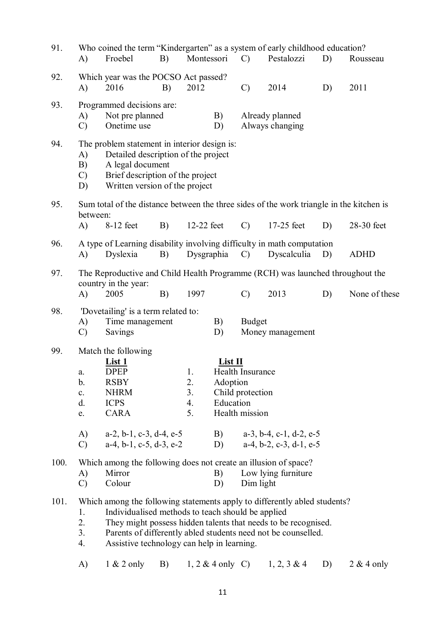| 91.  | A)                                     | Who coined the term "Kindergarten" as a system of early childhood education?<br>Froebel                                                                                       | B) | Montessori                 |                                  | $\mathcal{C}$                                                 | Pestalozzi                                                                                                                      | D) | Rousseau      |
|------|----------------------------------------|-------------------------------------------------------------------------------------------------------------------------------------------------------------------------------|----|----------------------------|----------------------------------|---------------------------------------------------------------|---------------------------------------------------------------------------------------------------------------------------------|----|---------------|
| 92.  | A)                                     | Which year was the POCSO Act passed?<br>2016                                                                                                                                  | B) | 2012                       |                                  | $\mathcal{C}$                                                 | 2014                                                                                                                            | D) | 2011          |
| 93.  | A)<br>$\mathcal{C}$                    | Programmed decisions are:<br>Not pre planned<br>Onetime use                                                                                                                   |    |                            | B)<br>D)                         |                                                               | Already planned<br>Always changing                                                                                              |    |               |
| 94.  | A)<br>B)<br>$\mathcal{C}$<br>D)        | The problem statement in interior design is:<br>Detailed description of the project<br>A legal document<br>Brief description of the project<br>Written version of the project |    |                            |                                  |                                                               |                                                                                                                                 |    |               |
| 95.  | between:<br>A)                         | Sum total of the distance between the three sides of the work triangle in the kitchen is<br>8-12 feet                                                                         | B) | 12-22 feet                 |                                  | $\mathcal{C}$                                                 | 17-25 feet                                                                                                                      | D) | 28-30 feet    |
| 96.  | A)                                     | A type of Learning disability involving difficulty in math computation<br>Dyslexia                                                                                            | B) | Dysgraphia                 |                                  | $\mathcal{C}$                                                 | Dyscalculia                                                                                                                     | D) | <b>ADHD</b>   |
| 97.  | A)                                     | The Reproductive and Child Health Programme (RCH) was launched throughout the<br>country in the year:<br>2005                                                                 | B) | 1997                       |                                  | $\mathcal{C}$                                                 | 2013                                                                                                                            | D) | None of these |
| 98.  | A)<br>C)                               | 'Dovetailing' is a term related to:<br>Time management<br>Savings                                                                                                             |    |                            | B)<br>D)                         | <b>Budget</b>                                                 | Money management                                                                                                                |    |               |
| 99.  | a.<br>b.<br>$\mathbf{c}$ .<br>d.<br>e. | Match the following<br>List 1<br><b>DPEP</b><br><b>RSBY</b><br><b>NHRM</b><br><b>ICPS</b><br>CARA                                                                             |    | 1.<br>2.<br>3.<br>4.<br>5. | List II<br>Adoption<br>Education | <b>Health Insurance</b><br>Child protection<br>Health mission |                                                                                                                                 |    |               |
|      | A)<br>$\mathcal{C}$                    | $a-2$ , $b-1$ , $c-3$ , $d-4$ , $e-5$<br>$a-4$ , $b-1$ , $c-5$ , $d-3$ , $e-2$                                                                                                |    |                            | B)<br>D)                         |                                                               | $a-3$ , $b-4$ , $c-1$ , $d-2$ , $e-5$<br>$a-4$ , $b-2$ , $c-3$ , $d-1$ , $e-5$                                                  |    |               |
| 100. | A)<br>$\mathcal{C}$                    | Which among the following does not create an illusion of space?<br>Mirror<br>Colour                                                                                           |    |                            | B)<br>D)                         | Dim light                                                     | Low lying furniture                                                                                                             |    |               |
| 101. | 1.<br>2.<br>3.<br>4.                   | Which among the following statements apply to differently abled students?<br>Individualised methods to teach should be applied<br>Assistive technology can help in learning.  |    |                            |                                  |                                                               | They might possess hidden talents that needs to be recognised.<br>Parents of differently abled students need not be counselled. |    |               |
|      | A)                                     | $1 & 2$ only                                                                                                                                                                  | B) |                            | $1, 2 \& 4$ only C)              |                                                               | $1, 2, 3 \& 4$                                                                                                                  | D) | $2 & 4$ only  |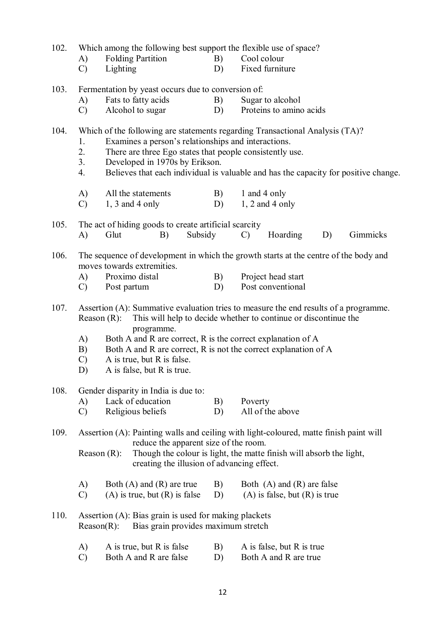| 102. | Which among the following best support the flexible use of space? |                                                                                                                                |          |                                                                                        |  |  |  |  |  |  |  |
|------|-------------------------------------------------------------------|--------------------------------------------------------------------------------------------------------------------------------|----------|----------------------------------------------------------------------------------------|--|--|--|--|--|--|--|
|      | A)                                                                | <b>Folding Partition</b>                                                                                                       | B)       | Cool colour                                                                            |  |  |  |  |  |  |  |
|      | $\mathcal{C}$                                                     | Lighting                                                                                                                       | D)       | Fixed furniture                                                                        |  |  |  |  |  |  |  |
| 103. |                                                                   | Fermentation by yeast occurs due to conversion of:                                                                             |          |                                                                                        |  |  |  |  |  |  |  |
|      | A)                                                                | Fats to fatty acids                                                                                                            | B)       | Sugar to alcohol                                                                       |  |  |  |  |  |  |  |
|      | $\mathcal{C}$                                                     | Alcohol to sugar                                                                                                               | D)       | Proteins to amino acids                                                                |  |  |  |  |  |  |  |
|      |                                                                   |                                                                                                                                |          |                                                                                        |  |  |  |  |  |  |  |
| 104. | 1.                                                                | Examines a person's relationships and interactions.                                                                            |          | Which of the following are statements regarding Transactional Analysis (TA)?           |  |  |  |  |  |  |  |
|      | 2.                                                                | There are three Ego states that people consistently use.                                                                       |          |                                                                                        |  |  |  |  |  |  |  |
|      | 3.                                                                | Developed in 1970s by Erikson.                                                                                                 |          |                                                                                        |  |  |  |  |  |  |  |
|      | 4.                                                                |                                                                                                                                |          | Believes that each individual is valuable and has the capacity for positive change.    |  |  |  |  |  |  |  |
|      | A)                                                                | All the statements                                                                                                             | B)       | 1 and 4 only                                                                           |  |  |  |  |  |  |  |
|      | $\mathcal{C}$                                                     | $1, 3$ and 4 only                                                                                                              | D)       | $1, 2$ and 4 only                                                                      |  |  |  |  |  |  |  |
|      |                                                                   |                                                                                                                                |          |                                                                                        |  |  |  |  |  |  |  |
| 105. |                                                                   | The act of hiding goods to create artificial scarcity                                                                          |          |                                                                                        |  |  |  |  |  |  |  |
|      | A)                                                                | Glut<br>Subsidy<br>B)                                                                                                          |          | Hoarding<br>Gimmicks<br>$\mathcal{C}$<br>D)                                            |  |  |  |  |  |  |  |
| 106. |                                                                   |                                                                                                                                |          | The sequence of development in which the growth starts at the centre of the body and   |  |  |  |  |  |  |  |
|      |                                                                   | moves towards extremities.                                                                                                     |          |                                                                                        |  |  |  |  |  |  |  |
|      | A)                                                                | Proximo distal                                                                                                                 | B)       | Project head start                                                                     |  |  |  |  |  |  |  |
|      | $\mathcal{C}$                                                     | Post partum                                                                                                                    | D)       | Post conventional                                                                      |  |  |  |  |  |  |  |
| 107. |                                                                   |                                                                                                                                |          | Assertion (A): Summative evaluation tries to measure the end results of a programme.   |  |  |  |  |  |  |  |
|      | Reason $(R)$ :                                                    |                                                                                                                                |          | This will help to decide whether to continue or discontinue the                        |  |  |  |  |  |  |  |
|      |                                                                   | programme.                                                                                                                     |          |                                                                                        |  |  |  |  |  |  |  |
|      | A)<br>B)                                                          | Both A and R are correct, R is the correct explanation of A<br>Both A and R are correct, R is not the correct explanation of A |          |                                                                                        |  |  |  |  |  |  |  |
|      | $\mathcal{C}$                                                     | A is true, but R is false.                                                                                                     |          |                                                                                        |  |  |  |  |  |  |  |
|      | D)                                                                | A is false, but R is true.                                                                                                     |          |                                                                                        |  |  |  |  |  |  |  |
|      |                                                                   |                                                                                                                                |          |                                                                                        |  |  |  |  |  |  |  |
| 108. |                                                                   | Gender disparity in India is due to:                                                                                           |          |                                                                                        |  |  |  |  |  |  |  |
|      | A)<br>$\mathcal{C}$                                               | Lack of education<br>Religious beliefs                                                                                         | B)<br>D) | Poverty<br>All of the above                                                            |  |  |  |  |  |  |  |
|      |                                                                   |                                                                                                                                |          |                                                                                        |  |  |  |  |  |  |  |
| 109. |                                                                   |                                                                                                                                |          | Assertion (A): Painting walls and ceiling with light-coloured, matte finish paint will |  |  |  |  |  |  |  |
|      |                                                                   | reduce the apparent size of the room.                                                                                          |          |                                                                                        |  |  |  |  |  |  |  |
|      | Reason $(R)$ :                                                    | creating the illusion of advancing effect.                                                                                     |          | Though the colour is light, the matte finish will absorb the light,                    |  |  |  |  |  |  |  |
|      |                                                                   |                                                                                                                                |          |                                                                                        |  |  |  |  |  |  |  |
|      | A)                                                                | Both $(A)$ and $(R)$ are true                                                                                                  | B)       | Both $(A)$ and $(R)$ are false                                                         |  |  |  |  |  |  |  |
|      | $\mathcal{C}$                                                     | $(A)$ is true, but $(R)$ is false                                                                                              | D)       | $(A)$ is false, but $(R)$ is true                                                      |  |  |  |  |  |  |  |
| 110. |                                                                   | Assertion $(A)$ : Bias grain is used for making plackets                                                                       |          |                                                                                        |  |  |  |  |  |  |  |
|      | $Reason(R)$ :                                                     | Bias grain provides maximum stretch                                                                                            |          |                                                                                        |  |  |  |  |  |  |  |
|      |                                                                   |                                                                                                                                |          |                                                                                        |  |  |  |  |  |  |  |
|      | A)                                                                | A is true, but R is false                                                                                                      | B)       | A is false, but R is true                                                              |  |  |  |  |  |  |  |
|      | $\mathcal{C}$                                                     | Both A and R are false                                                                                                         | D)       | Both A and R are true                                                                  |  |  |  |  |  |  |  |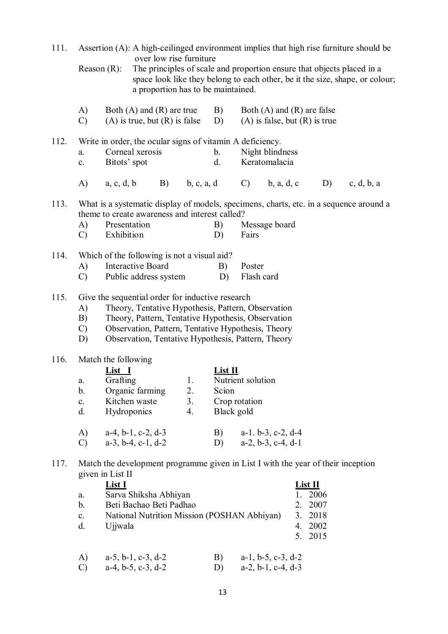| 111. |                                  |                                                      |                                                                                                 |                                                               |                                           |                                    | Assertion (A): A high-ceilinged environment implies that high rise furniture should be                                                                                                                               |                                                                |                                                                              |
|------|----------------------------------|------------------------------------------------------|-------------------------------------------------------------------------------------------------|---------------------------------------------------------------|-------------------------------------------|------------------------------------|----------------------------------------------------------------------------------------------------------------------------------------------------------------------------------------------------------------------|----------------------------------------------------------------|------------------------------------------------------------------------------|
|      | Reason $(R)$ :                   |                                                      |                                                                                                 | over low rise furniture<br>a proportion has to be maintained. |                                           |                                    | The principles of scale and proportion ensure that objects placed in a                                                                                                                                               |                                                                | space look like they belong to each other, be it the size, shape, or colour; |
|      | A)<br>$\mathcal{C}$              |                                                      | Both $(A)$ and $(R)$ are true<br>$(A)$ is true, but $(R)$ is false                              |                                                               | B)<br>D)                                  |                                    | Both $(A)$ and $(R)$ are false<br>$(A)$ is false, but $(R)$ is true                                                                                                                                                  |                                                                |                                                                              |
| 112. | a.<br>$\mathbf{c}$ .             | Bitots' spot                                         | Write in order, the ocular signs of vitamin A deficiency.<br>Corneal xerosis                    |                                                               | b.<br>d.                                  |                                    | Night blindness<br>Keratomalacia                                                                                                                                                                                     |                                                                |                                                                              |
|      |                                  |                                                      |                                                                                                 |                                                               |                                           |                                    | A) a, c, d, b B) b, c, a, d C) b, a, d, c D) c, d, b, a                                                                                                                                                              |                                                                |                                                                              |
| 113. | A)<br>$\mathcal{C}$ )            | Presentation<br>Exhibition                           | theme to create awareness and interest called?                                                  |                                                               | B)<br>D)                                  | Fairs                              | What is a systematic display of models, specimens, charts, etc. in a sequence around a<br>Message board                                                                                                              |                                                                |                                                                              |
| 114. | A)<br>$\mathcal{C}$              |                                                      | Which of the following is not a visual aid?<br>Interactive Board<br>Public address system       |                                                               | B)<br>D)                                  | Poster<br>Flash card               |                                                                                                                                                                                                                      |                                                                |                                                                              |
| 115. | A)<br>B)<br>$\mathcal{C}$<br>D)  |                                                      | Give the sequential order for inductive research                                                |                                                               |                                           |                                    | Theory, Tentative Hypothesis, Pattern, Observation<br>Theory, Pattern, Tentative Hypothesis, Observation<br>Observation, Pattern, Tentative Hypothesis, Theory<br>Observation, Tentative Hypothesis, Pattern, Theory |                                                                |                                                                              |
| 116. | a.<br>b.<br>$\mathbf{c}$ .<br>d. | Match the following<br>List <sub>1</sub><br>Grafting | Organic farming<br>Kitchen waste<br>Hydroponics                                                 | 1.<br>2.<br>3.<br>4.                                          | List <sub>II</sub><br>Scion<br>Black gold | Nutrient solution<br>Crop rotation |                                                                                                                                                                                                                      |                                                                |                                                                              |
|      | A)<br>$\mathcal{C}$              |                                                      | $a-4$ , $b-1$ , $c-2$ , $d-3$<br>$a-3$ , $b-4$ , $c-1$ , $d-2$                                  |                                                               | B)<br>D)                                  |                                    | $a-1. b-3, c-2, d-4$<br>$a-2$ , $b-3$ , $c-4$ , $d-1$                                                                                                                                                                |                                                                |                                                                              |
| 117. | a.<br>b.<br>$\mathbf{c}.$<br>d.  | given in List II<br><b>List I</b><br>Ujjwala         | Sarva Shiksha Abhiyan<br>Beti Bachao Beti Padhao<br>National Nutrition Mission (POSHAN Abhiyan) |                                                               |                                           |                                    | Match the development programme given in List I with the year of their inception                                                                                                                                     | List II<br>1. 2006<br>2. 2007<br>3. 2018<br>4. 2002<br>5. 2015 |                                                                              |
|      | A)                               |                                                      | $a-5$ , $b-1$ , $c-3$ , $d-2$                                                                   |                                                               | B)                                        |                                    | $a-1$ , $b-5$ , $c-3$ , $d-2$                                                                                                                                                                                        |                                                                |                                                                              |

| C) $a-4, b-5, c-3, d-2$ | D) $a-2, b-1, c-4, d-3$ |
|-------------------------|-------------------------|
|                         |                         |